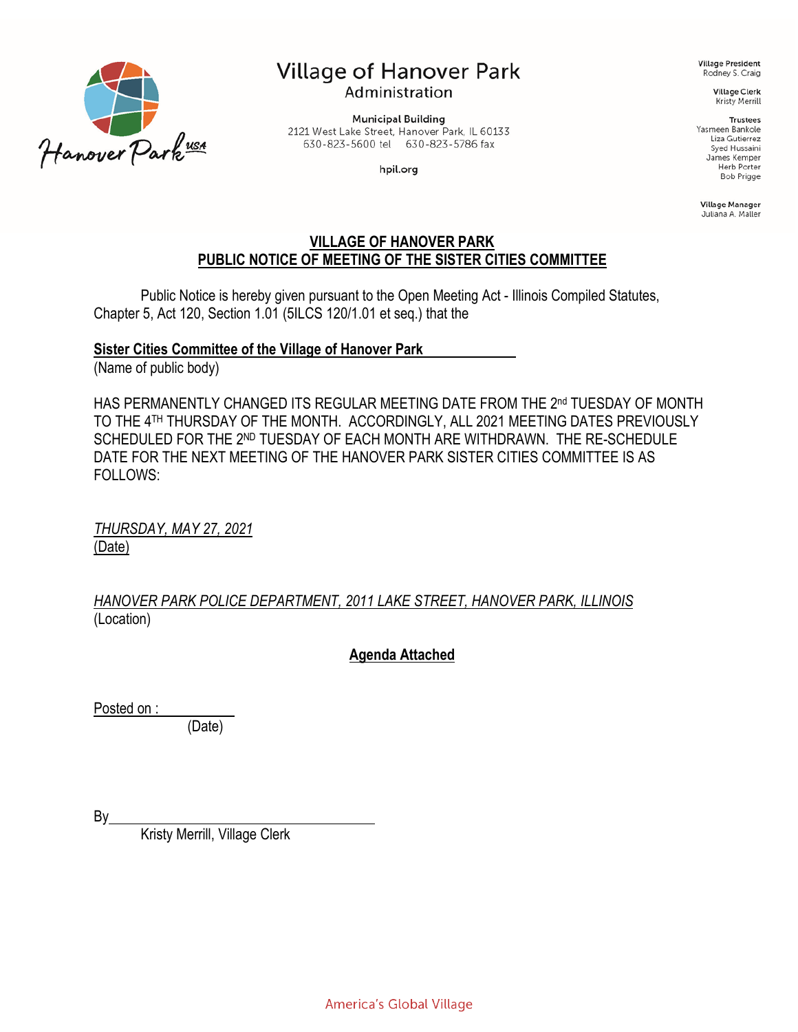

# **Village of Hanover Park** Administration

**Municipal Building** 2121 West Lake Street, Hanover Park, IL 60133 630-823-5600 tel 630-823-5786 fax

hpil.org

**Village President** Rodney S. Craig

> **Village Clerk** Kristy Merrill

> > **Trustees**

Yasmeen Bankole Liza Gutierrez Syed Hussaini James Kemper **Herb Porter Bob Prigge** 

Village Manager Juliana A. Maller

#### **VILLAGE OF HANOVER PARK PUBLIC NOTICE OF MEETING OF THE SISTER CITIES COMMITTEE**

Public Notice is hereby given pursuant to the Open Meeting Act - Illinois Compiled Statutes, Chapter 5, Act 120, Section 1.01 (5ILCS 120/1.01 et seq.) that the

#### **Sister Cities Committee of the Village of Hanover Park**

(Name of public body)

HAS PERMANENTLY CHANGED ITS REGULAR MEETING DATE FROM THE 2nd TUESDAY OF MONTH TO THE 4TH THURSDAY OF THE MONTH. ACCORDINGLY, ALL 2021 MEETING DATES PREVIOUSLY SCHEDULED FOR THE 2ND TUESDAY OF EACH MONTH ARE WITHDRAWN. THE RE-SCHEDULE DATE FOR THE NEXT MEETING OF THE HANOVER PARK SISTER CITIES COMMITTEE IS AS FOLLOWS:

*THURSDAY, MAY 27, 2021* (Date)

*HANOVER PARK POLICE DEPARTMENT, 2011 LAKE STREET, HANOVER PARK, ILLINOIS* (Location)

#### **Agenda Attached**

Posted on :

(Date)

By\_

Kristy Merrill, Village Clerk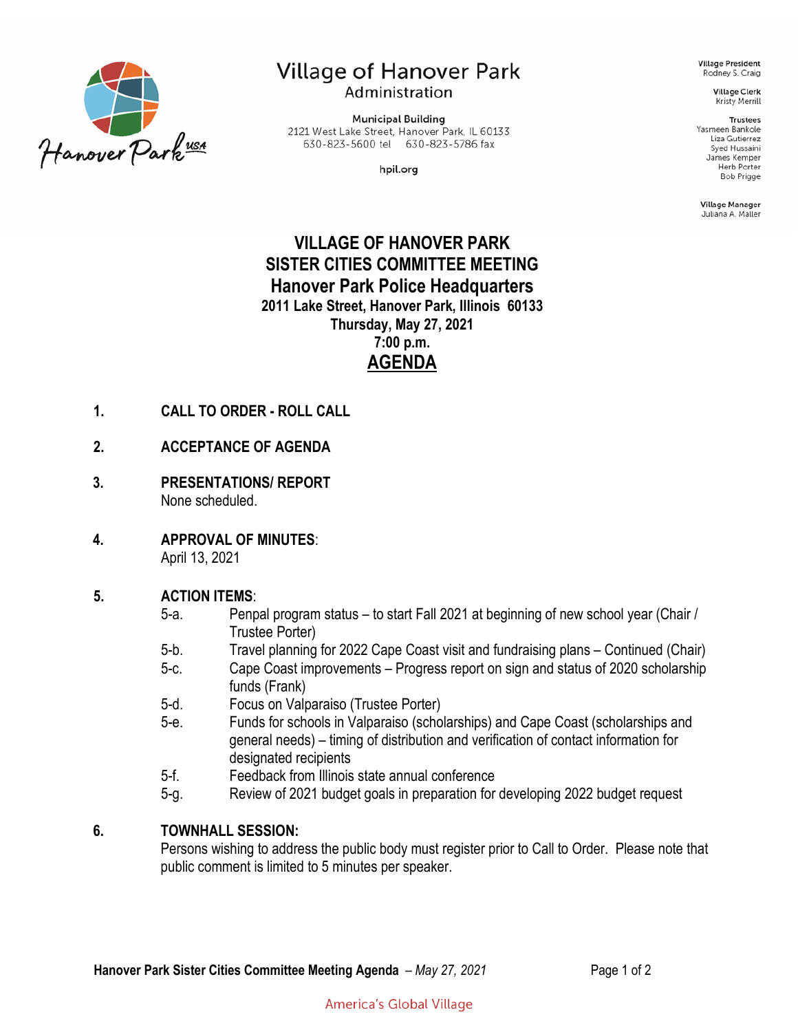

# **Village of Hanover Park** Administration

**Municipal Building** 2121 West Lake Street, Hanover Park, IL 60133 630-823-5600 tel 630-823-5786 fax

hpil.org

**Village President** Rodney S. Craig

> **Village Clerk** Kristy Merrill

#### **Trustees**

Yasmeen Bankole Liza Gutierrez Syed Hussaini James Kemper Herb Porter **Bob Prigge** 

Village Manager Juliana A. Maller

## **VILLAGE OF HANOVER PARK SISTER CITIES COMMITTEE MEETING Hanover Park Police Headquarters 2011 Lake Street, Hanover Park, Illinois 60133 Thursday, May 27, 2021 7:00 p.m. AGENDA**

- **1. CALL TO ORDER - ROLL CALL**
- **2. ACCEPTANCE OF AGENDA**
- **3. PRESENTATIONS/ REPORT** None scheduled.
- **4. APPROVAL OF MINUTES**: April 13, 2021

#### **5. ACTION ITEMS**:

- 5-a. Penpal program status to start Fall 2021 at beginning of new school year (Chair / Trustee Porter)
- 5-b. Travel planning for 2022 Cape Coast visit and fundraising plans Continued (Chair)
- 5-c. Cape Coast improvements Progress report on sign and status of 2020 scholarship funds (Frank)
- 5-d. Focus on Valparaiso (Trustee Porter)
- 5-e. Funds for schools in Valparaiso (scholarships) and Cape Coast (scholarships and general needs) – timing of distribution and verification of contact information for designated recipients
- 5-f. Feedback from Illinois state annual conference
- 5-g. Review of 2021 budget goals in preparation for developing 2022 budget request

#### **6. TOWNHALL SESSION:**

Persons wishing to address the public body must register prior to Call to Order. Please note that public comment is limited to 5 minutes per speaker.